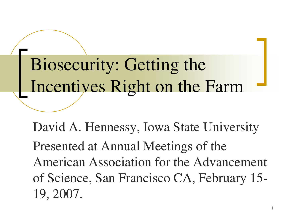Biosecurity: Getting the Incentives Right on the Farm

David A. Hennessy, Iowa State University Presented at Annual Meetings of the American Association for the Advancement of Science, San Francisco CA, February 15- 19, 2007.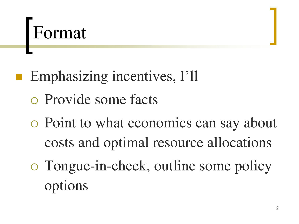## Format

- **Emphasizing incentives, I'll**  Provide some facts
	- Point to what economics can say about costs and optimal resource allocations
	- Tongue-in-cheek, outline some policy options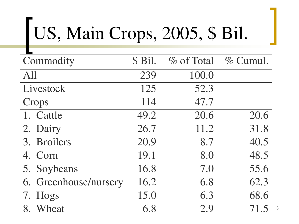# US, Main Crops, 2005, \$ Bil.

| Commodity             | \$ Bil. | % of Total | $\%$ Cumul. |
|-----------------------|---------|------------|-------------|
| All                   | 239     | 100.0      |             |
| Livestock             | 125     | 52.3       |             |
| Crops                 | 114     | 47.7       |             |
| 1. Cattle             | 49.2    | 20.6       | 20.6        |
| 2. Dairy              | 26.7    | 11.2       | 31.8        |
| 3. Broilers           | 20.9    | 8.7        | 40.5        |
| 4. Corn               | 19.1    | 8.0        | 48.5        |
| 5. Soybeans           | 16.8    | 7.0        | 55.6        |
| 6. Greenhouse/nursery | 16.2    | 6.8        | 62.3        |
| 7. Hogs               | 15.0    | 6.3        | 68.6        |
| 8. Wheat              | 6.8     | 2.9        | 71.5        |

3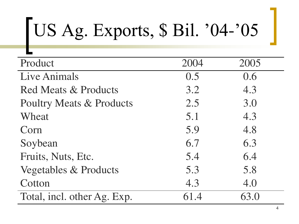# US Ag. Exports, \$ Bil. '04-'05

| Product                             | 2004 | 2005 |
|-------------------------------------|------|------|
| <b>Live Animals</b>                 | 0.5  | 0.6  |
| <b>Red Meats &amp; Products</b>     | 3.2  | 4.3  |
| <b>Poultry Meats &amp; Products</b> | 2.5  | 3.0  |
| Wheat                               | 5.1  | 4.3  |
| Corn                                | 5.9  | 4.8  |
| Soybean                             | 6.7  | 6.3  |
| Fruits, Nuts, Etc.                  | 5.4  | 6.4  |
| <b>Vegetables &amp; Products</b>    | 5.3  | 5.8  |
| Cotton                              | 4.3  | 4.0  |
| Total, incl. other Ag. Exp.         | 61.4 | 63.0 |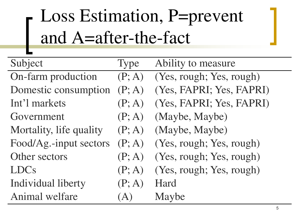## Loss Estimation, P=prevent and A=after-the-fact

| Subject                 | <b>Type</b> | Ability to measure       |
|-------------------------|-------------|--------------------------|
| On-farm production      | (P; A)      | (Yes, rough; Yes, rough) |
| Domestic consumption    | (P; A)      | (Yes, FAPRI; Yes, FAPRI) |
| Int'l markets           | (P; A)      | (Yes, FAPRI; Yes, FAPRI) |
| Government              | (P; A)      | (Maybe, Maybe)           |
| Mortality, life quality | (P; A)      | (Maybe, Maybe)           |
| Food/Ag.-input sectors  | (P; A)      | (Yes, rough; Yes, rough) |
| Other sectors           | (P; A)      | (Yes, rough; Yes, rough) |
| <b>LDCs</b>             | (P; A)      | (Yes, rough; Yes, rough) |
| Individual liberty      | (P; A)      | Hard                     |
| Animal welfare          | A)          | Maybe                    |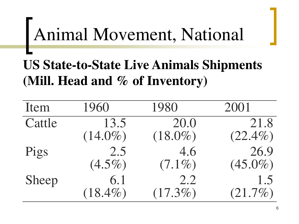## Animal Movement, National

#### **US State-to-State Live Animals Shipments (Mill. Head and % of Inventory)**

| Item   | 1960       | 1980       | 2001       |
|--------|------------|------------|------------|
| Cattle | 13.5       | 20.0       | 21.8       |
|        | $(14.0\%)$ | $(18.0\%)$ | $(22.4\%)$ |
| Pigs   | 2.5        | 4.6        | 26.9       |
|        | $(4.5\%)$  | $(7.1\%)$  | $(45.0\%)$ |
| Sheep  | 6.1        | 2.2        | 1.5        |
|        | $(18.4\%)$ | $(17.3\%)$ | $(21.7\%)$ |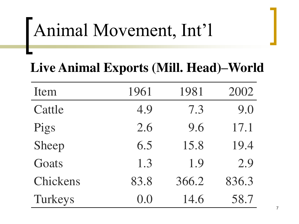## Animal Movement, Int'l

#### **Live Animal Exports (Mill. Head)–World**

| Item     | 1961 | 1981  | 2002  |
|----------|------|-------|-------|
| Cattle   | 4.9  | 7.3   | 9.0   |
| Pigs     | 2.6  | 9.6   | 17.1  |
| Sheep    | 6.5  | 15.8  | 19.4  |
| Goats    | 1.3  | 1.9   | 2.9   |
| Chickens | 83.8 | 366.2 | 836.3 |
| Turkeys  | 0.0  | 14.6  | 58.7  |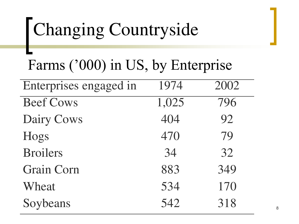## Changing Countryside

#### Farms ('000) in US, by Enterprise

| Enterprises engaged in | 1974  | 2002 |
|------------------------|-------|------|
| <b>Beef Cows</b>       | 1,025 | 796  |
| <b>Dairy Cows</b>      | 404   | 92   |
| Hogs                   | 470   | 79   |
| <b>Broilers</b>        | 34    | 32   |
| <b>Grain Corn</b>      | 883   | 349  |
| Wheat                  | 534   | 170  |
| Soybeans               | 542   | 318  |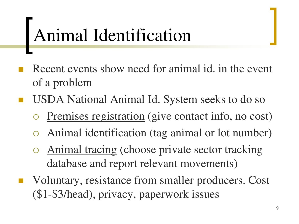## Animal Identification

- Recent events show need for animal id. in the event of a problem
- USDA National Animal Id. System seeks to do so
	- Premises registration (give contact info, no cost)
	- Animal identification (tag animal or lot number)
	- Animal tracing (choose private sector tracking database and report relevant movements)
- Voluntary, resistance from smaller producers. Cost (\$1-\$3/head), privacy, paperwork issues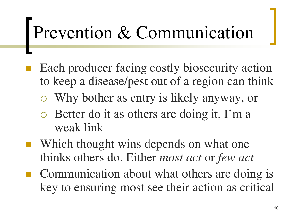## Prevention & Communication

- Each producer facing costly biosecurity action to keep a disease/pest out of a region can think
	- Why bother as entry is likely anyway, or
	- Better do it as others are doing it, I'm a weak link
- Which thought wins depends on what one thinks others do. Either *most act* or *few act*
- Communication about what others are doing is key to ensuring most see their action as critical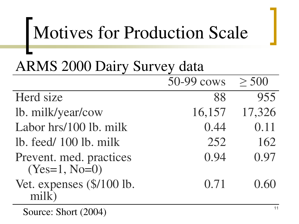## Motives for Production Scale

#### ARMS 2000 Dairy Survey data

|                           | 50-99 cows | > 500  |
|---------------------------|------------|--------|
| Herd size                 | 88         | 955    |
| lb. milk/year/cow         | 16,157     | 17,326 |
| Labor hrs/100 lb. milk    | 0.44       | 0.11   |
| lb. feed/100 lb. milk     | 252        | 162    |
| Prevent. med. practices   | 0.94       | 0.97   |
| $(Yes=1, No=0)$           |            |        |
| Vet. expenses (\$/100 lb. | 0.71       | 0.60   |
| milk                      |            |        |

Source: Short (2004)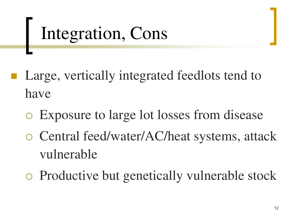## Integration, Cons

- Large, vertically integrated feedlots tend to have
	- Exposure to large lot losses from disease
	- Central feed/water/AC/heat systems, attack vulnerable
	- Productive but genetically vulnerable stock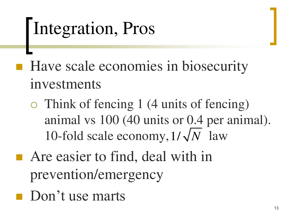## Integration, Pros

 Have scale economies in biosecurity investments

- Think of fencing 1 (4 units of fencing) animal vs 100 (40 units or 0.4 per animal). 10-fold scale economy,  $1/\sqrt{N}$  law
- Are easier to find, deal with in prevention/emergency
- **Don't use marts**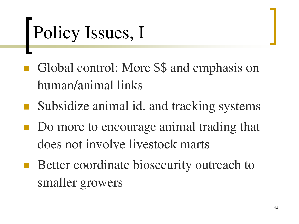# Policy Issues, I

- Global control: More \$\$ and emphasis on human/animal links
- Subsidize animal id. and tracking systems
- Do more to encourage animal trading that does not involve livestock marts
- Better coordinate biosecurity outreach to smaller growers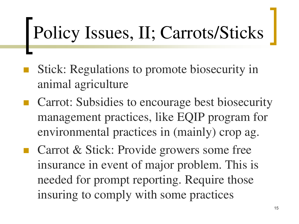## Policy Issues, II; Carrots/Sticks

- Stick: Regulations to promote biosecurity in animal agriculture
- Carrot: Subsidies to encourage best biosecurity management practices, like EQIP program for environmental practices in (mainly) crop ag.
- Carrot & Stick: Provide growers some free insurance in event of major problem. This is needed for prompt reporting. Require those insuring to comply with some practices